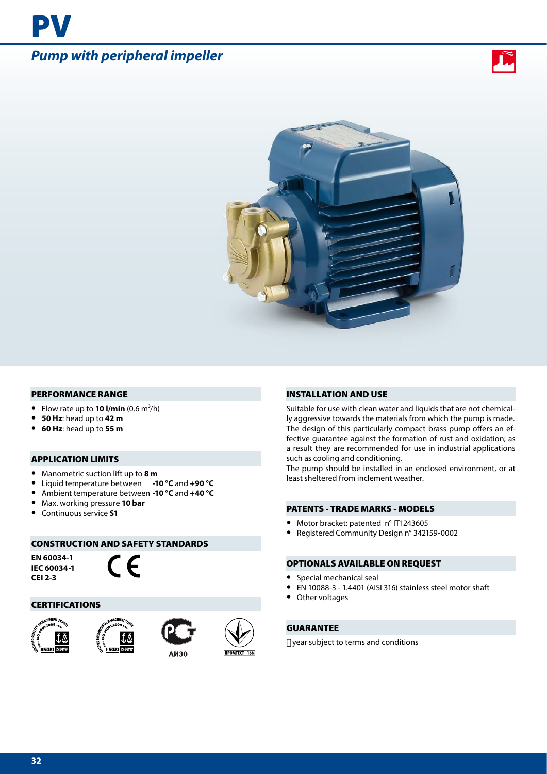# *Pump with peripheral impeller*

PV





#### PERFORMANCE RANGE

- Flow rate up to **10 I/min**  $(0.6 \text{ m}^3/\text{h})$
- **• 50 Hz**: head up to **42 m**
- **• 60 Hz**: head up to **55 m**

#### APPLICATION LIMITS

- **•** Manometric suction lift up to **8 m**
- **•** Liquid temperature between **-10 °C** and **+90 °C**
- **•** Ambient temperature between **-10 °C** and **+40 °C**
- **•** Max. working pressure **10 bar**
- **•** Continuous service **S1**

#### CONSTRUCTION AND SAFETY STANDARDS

**EN 60034-1 IEC 60034-1 CEI 2-3**

CE

### CERTIFICATIONS







#### INSTALLATION AND USE

Suitable for use with clean water and liquids that are not chemically aggressive towards the materials from which the pump is made. The design of this particularly compact brass pump offers an effective guarantee against the formation of rust and oxidation; as a result they are recommended for use in industrial applications such as cooling and conditioning.

The pump should be installed in an enclosed environment, or at least sheltered from inclement weather.

## PATENTS - TRADE MARKS - MODELS

- **•** Motor bracket: patented n° IT1243605
- **•** Registered Community Design n° 342159-0002

## OPTIONALS AVAILABLE ON REQUEST

- **•** Special mechanical seal
- **•** EN 10088-3 1.4401 (AISI 316) stainless steel motor shaft
- **•** Other voltages

## GUARANTEE

year subject to terms and conditions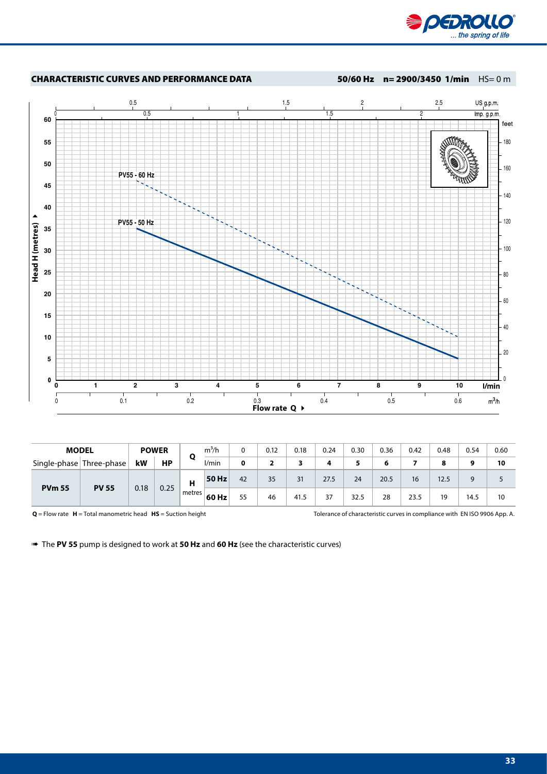



| <b>MODEL</b>             |              |              | <b>POWER</b> |        | $m^3/h$ |    | 0.12 | 0.18 | 0.24 | 0.30   | 0.36 | 0.42 | 0.48 | 0.54 | 0.60 |
|--------------------------|--------------|--------------|--------------|--------|---------|----|------|------|------|--------|------|------|------|------|------|
| Single-phase Three-phase |              | kW           | НP           | O      | l/min   | 0  |      | 3    | 4    | к<br>٠ | 6    |      | 8    | 9    | 10   |
| <b>PVm 55</b>            | <b>PV 55</b> | 0.25<br>0.18 |              | н      | 50 Hz   | 42 | 35   | 31   | 27.5 | 24     | 20.5 | 16   | 12.5 | 9    |      |
|                          |              |              |              | metres | 60 Hz   | 55 | 46   | 41.5 | 37   | 32.5   | 28   | 23.5 | 19   | 14.5 | 10   |

**Q** = Flow rate **H** = Total manometric head **HS** = Suction height Tolerance of characteristic curves in compliance with EN ISO 9906 App. A.

➠ The **PV 55** pump is designed to work at **50 Hz** and **60 Hz** (see the characteristic curves)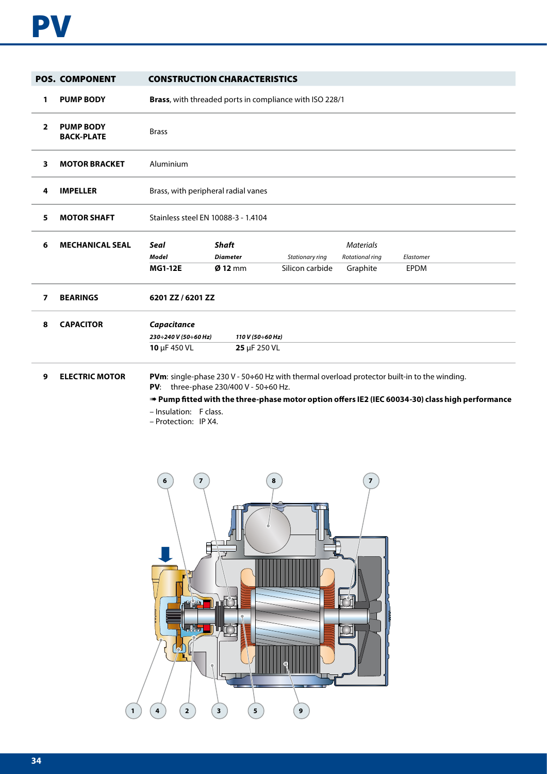|                | <b>POS. COMPONENT</b>                 |                                                     | <b>CONSTRUCTION CHARACTERISTICS</b>                     |                                    |                                                 |                                                                                                                                                                                                      |
|----------------|---------------------------------------|-----------------------------------------------------|---------------------------------------------------------|------------------------------------|-------------------------------------------------|------------------------------------------------------------------------------------------------------------------------------------------------------------------------------------------------------|
| 1              | <b>PUMP BODY</b>                      |                                                     | Brass, with threaded ports in compliance with ISO 228/1 |                                    |                                                 |                                                                                                                                                                                                      |
| $\overline{2}$ | <b>PUMP BODY</b><br><b>BACK-PLATE</b> | <b>Brass</b>                                        |                                                         |                                    |                                                 |                                                                                                                                                                                                      |
| 3              | <b>MOTOR BRACKET</b>                  | Aluminium                                           |                                                         |                                    |                                                 |                                                                                                                                                                                                      |
| 4              | <b>IMPELLER</b>                       | Brass, with peripheral radial vanes                 |                                                         |                                    |                                                 |                                                                                                                                                                                                      |
| 5              | <b>MOTOR SHAFT</b>                    | Stainless steel EN 10088-3 - 1.4104                 |                                                         |                                    |                                                 |                                                                                                                                                                                                      |
| 6              | <b>MECHANICAL SEAL</b>                | Seal<br><b>Model</b><br><b>MG1-12E</b>              | <b>Shaft</b><br><b>Diameter</b><br>$Ø$ 12 mm            | Stationary ring<br>Silicon carbide | <b>Materials</b><br>Rotational ring<br>Graphite | Elastomer<br><b>EPDM</b>                                                                                                                                                                             |
| 7              | <b>BEARINGS</b>                       | 6201 ZZ / 6201 ZZ                                   |                                                         |                                    |                                                 |                                                                                                                                                                                                      |
| 8              | <b>CAPACITOR</b>                      | Capacitance<br>230÷240 V (50÷60 Hz)<br>10 µF 450 VL | 110 V (50÷60 Hz)<br>25 µF 250 VL                        |                                    |                                                 |                                                                                                                                                                                                      |
| 9              | <b>ELECTRIC MOTOR</b>                 | - Insulation: F class.<br>- Protection: IP X4.      | <b>PV:</b> three-phase 230/400 V - 50 $\div$ 60 Hz.     |                                    |                                                 | <b>PVm:</b> single-phase 230 V - 50÷60 Hz with thermal overload protector built-in to the winding.<br>Pump fitted with the three-phase motor option offers IE2 (IEC 60034-30) class high performance |